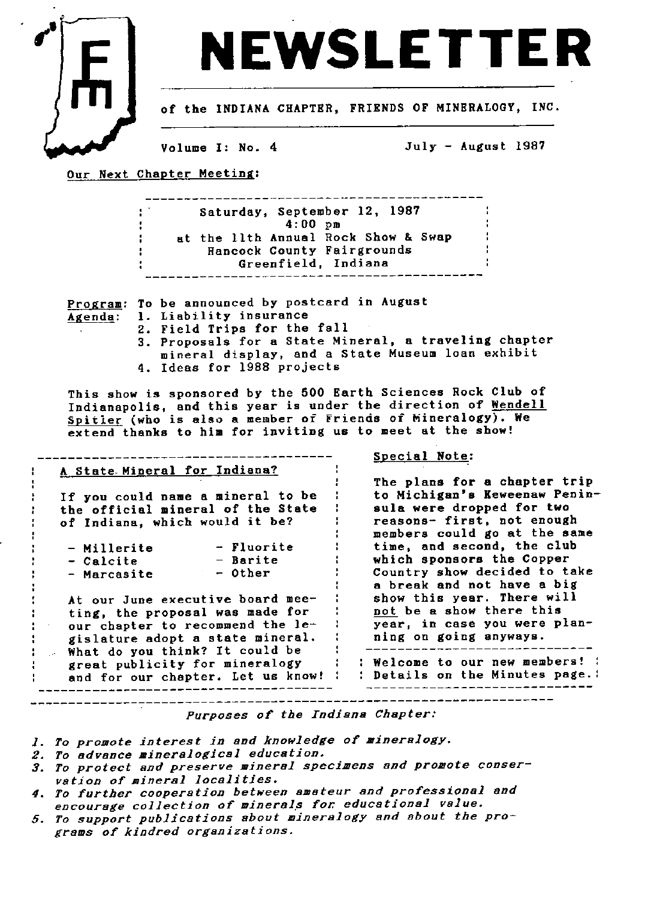

## NEWSLETTE

of the INDIANA CHAPTER, FRIENDS OF MINERALOGY, INC.

Volume I: No. 4

July - August 1987

Our Next Chapter Meeting:

-------**--------------------**--Saturday, September 12, 1987 4:00 pm at the llth Annual Rock Show & Swap ÷ Hancock County Fairgrounds Greenfield, Indiana \_ \_ \_ -------------------. I- .I .-.----------------- \_ \_ \_ \_

Program: To be announced by postcard in August

- Liability insurance Agenda:
	- 2. Field Trips for the fall
		- 3. Proposals for a State Mineral, a traveling chapter mineral display, and a State Museum loan exhibit 4. Ideas for 1988 projects

This show is sponsored by the 500 Earth Sciences Rock Club of Indianapolis, and this year is under the direction of Wendell Spitler (who is also a member of Friends of Mineralogy). We extend thanks to him for inviting us to meet at the show!

| A State Mineral for Indiana?        |                                  |
|-------------------------------------|----------------------------------|
|                                     | The plans for a chapter trip     |
| If you could name a mineral to be   | to Michigan's Keweenaw Penin-    |
| the official mineral of the State   | sula were dropped for two        |
| of Indiana, which would it be?      | reasons- first, not enough       |
|                                     | members could go at the same     |
| - Fluorite<br>- Millerite           | time, and second, the club       |
| - Barite<br>- Calcite               | which sponsors the Copper        |
| - Other<br>- Marcasite              | Country show decided to take     |
|                                     | a break and not have a big       |
| At our June executive board mee-    | show this year. There will       |
| ting, the proposal was made for     | not be a show there this         |
| our chapter to recommend the le-    | year, in case you were plan-     |
| gislature adopt a state mineral.    | ning on going anyways.           |
| What do you think? It could be      |                                  |
| great publicity for mineralogy      | : Welcome to our new members! :  |
| and for our chapter. Let us know! I | : Details on the Minutes page. : |

Purposes of the Indiana Chapter..

- 1. To promote interest in and knowledge of mineralogy.
- 2. To advance mineralogical education.
- 3. To protect and preserve mineral specimens and promote conservation of mineral localities.
- 4. To further cooperation between amateur and professional and encourage collection of minerals for educational value.
- 5. To support publications about mineralogy and about the programs of kindred organizations.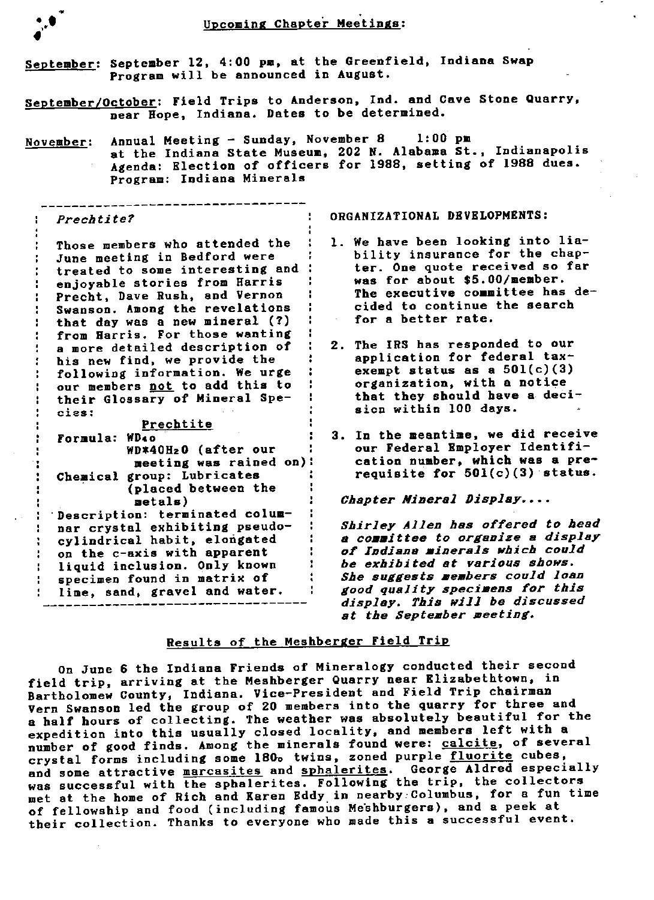| September: September 12, 4:00 pm, at the Greenfield, Indiana Swap<br>Program will be announced in August. |                                                                                                                                                                                                                                                                                                                                                                                                                                                                |                                                                                                                                                                                                                                                                                                                                                                                                                              |  |  |
|-----------------------------------------------------------------------------------------------------------|----------------------------------------------------------------------------------------------------------------------------------------------------------------------------------------------------------------------------------------------------------------------------------------------------------------------------------------------------------------------------------------------------------------------------------------------------------------|------------------------------------------------------------------------------------------------------------------------------------------------------------------------------------------------------------------------------------------------------------------------------------------------------------------------------------------------------------------------------------------------------------------------------|--|--|
|                                                                                                           | near Hope, Indiana. Dates to be determined.                                                                                                                                                                                                                                                                                                                                                                                                                    | September/October: Field Trips to Anderson, Ind. and Cave Stone Quarry,                                                                                                                                                                                                                                                                                                                                                      |  |  |
|                                                                                                           | November: Annual Meeting - Sunday, November 8 1:00 pm<br>Program: Indiana Minerals                                                                                                                                                                                                                                                                                                                                                                             | at the Indiana State Museum, 202 N. Alabama St., Indianapolis<br>Agenda: Election of officers for 1988, setting of 1988 dues.                                                                                                                                                                                                                                                                                                |  |  |
| Prechtite?                                                                                                |                                                                                                                                                                                                                                                                                                                                                                                                                                                                | ORGANIZATIONAL DEVELOPMENTS:                                                                                                                                                                                                                                                                                                                                                                                                 |  |  |
| cies:                                                                                                     | Those members who attended the<br>June meeting in Bedford were<br>treated to some interesting and<br>enjoyable stories from Harris<br>Precht, Dave Rush, and Vernon<br>Swanson. Among the revelations<br>that day was a new mineral (?)<br>from Harris. For those wanting<br>a more detailed description of<br>his new find, we provide the<br>following information. We urge<br>our members not to add this to<br>their Glossary of Mineral Spe-<br>Prechtite | 1. We have been looking into lia-<br>bility insurance for the chap-<br>ter. One quote received so far<br>was for about \$5.00/member.<br>The executive committee has de-<br>cided to continue the search<br>for a better rate.<br>2. The IRS has responded to our<br>application for federal tax-<br>exempt status as a $501(c)(3)$<br>organization, with a notice<br>that they should have a deci-<br>sion within 100 days. |  |  |
|                                                                                                           | Formula: WD40<br>WD*40H <sub>2</sub> 0 (after our<br>meeting was rained on):<br>Chemical group: Lubricates<br>(placed between the<br>metals)                                                                                                                                                                                                                                                                                                                   | 3. In the meantime, we did receive<br>our Federal Employer Identifi-<br>cation number, which was a pre-<br>requisite for $501(c)(3)$ status.<br>Chapter Mineral Display                                                                                                                                                                                                                                                      |  |  |
|                                                                                                           | Description: terminated colum-<br>nar crystal exhibiting pseudo-<br>cylindrical habit, elongated<br>on the c-axis with apparent<br>liquid inclusion. Only known<br>specimen found in matrix of<br>lime, sand, gravel and water.                                                                                                                                                                                                                                | Shirley Allen has offered to head<br>a committee to organize a display<br>of Indiana minerals which could<br>be exhibited at various shows.<br>She suggests members could loan<br>good quality specimens for this<br>display. This will be discussed                                                                                                                                                                         |  |  |

## Results of the Meshberger Field Trip

at the September meeting.

On June 6 the Indiana Friends of Mineralogy conducted their second field trip, arriving at the Meshberger Quarry near Elizabethtown, in Bartholomew County, Indiana. Vice-President and Field Trip chairman Vern Swanson led the group of 20 members into the quarry for three and a half hours of collecting. The weather was absolutely beautiful for the expedition into this usually closed locality, and members left with a number of good finds. Among the minerals found were: calcite, of several crystal forms including some 180. twins, zoned purple fluorite cubes, and some attractive marcasites and sphalerites. George Aldred especially was successful with the sphalerites. Following the trip, the collectors met at the home of Rich and Karen Eddy. in nearby..Columbus, for a fun tine of fellowship and food (including famous Meshburgers), and a peek at their collection. Thanks to everyone who made this a successful event.